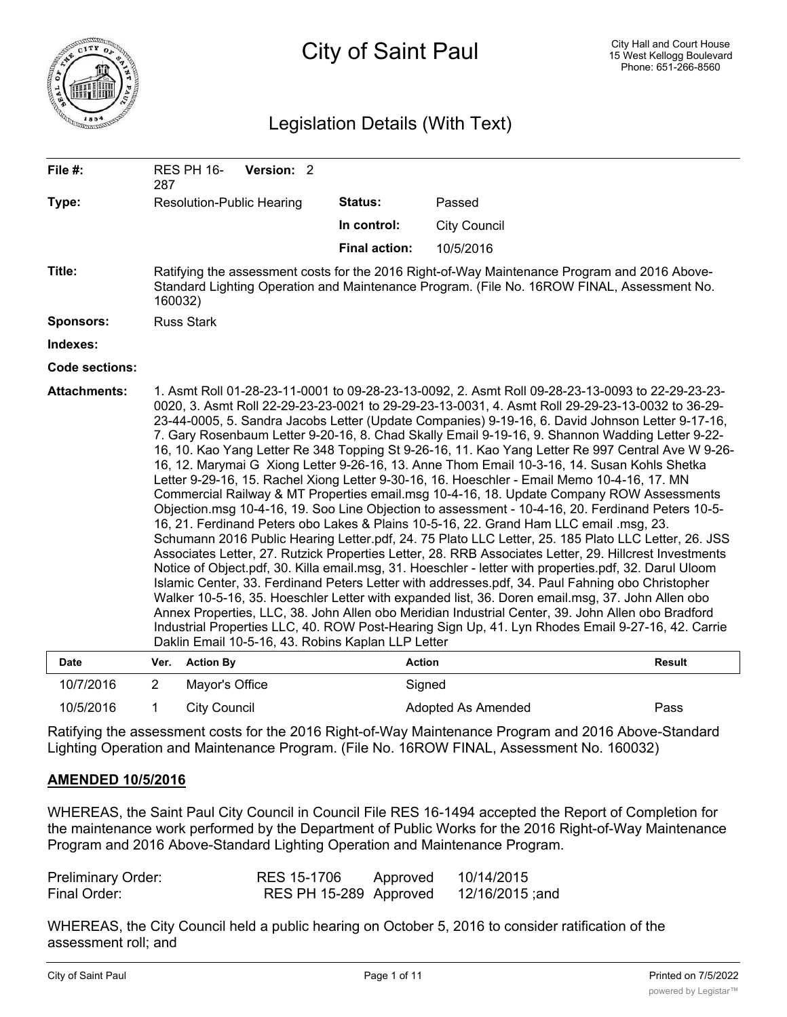

# City of Saint Paul

# Legislation Details (With Text)

| File #:                            | 287            | RES PH 16-        | Version: 2                       |                                                                     |                                                                                                                                                                                                                                                                                                                                                                                                                                                                                                                                                                                                                                                                                                                                                                                                                                                                                                                                                                                                                                                                                                                                                                                                                                                                                                                                                                                                                                                                                                                                                                                                                                                                                                                                                        |               |
|------------------------------------|----------------|-------------------|----------------------------------|---------------------------------------------------------------------|--------------------------------------------------------------------------------------------------------------------------------------------------------------------------------------------------------------------------------------------------------------------------------------------------------------------------------------------------------------------------------------------------------------------------------------------------------------------------------------------------------------------------------------------------------------------------------------------------------------------------------------------------------------------------------------------------------------------------------------------------------------------------------------------------------------------------------------------------------------------------------------------------------------------------------------------------------------------------------------------------------------------------------------------------------------------------------------------------------------------------------------------------------------------------------------------------------------------------------------------------------------------------------------------------------------------------------------------------------------------------------------------------------------------------------------------------------------------------------------------------------------------------------------------------------------------------------------------------------------------------------------------------------------------------------------------------------------------------------------------------------|---------------|
| Type:                              |                |                   | <b>Resolution-Public Hearing</b> | <b>Status:</b>                                                      | Passed                                                                                                                                                                                                                                                                                                                                                                                                                                                                                                                                                                                                                                                                                                                                                                                                                                                                                                                                                                                                                                                                                                                                                                                                                                                                                                                                                                                                                                                                                                                                                                                                                                                                                                                                                 |               |
|                                    |                |                   |                                  | In control:                                                         | <b>City Council</b>                                                                                                                                                                                                                                                                                                                                                                                                                                                                                                                                                                                                                                                                                                                                                                                                                                                                                                                                                                                                                                                                                                                                                                                                                                                                                                                                                                                                                                                                                                                                                                                                                                                                                                                                    |               |
|                                    |                |                   |                                  | <b>Final action:</b>                                                | 10/5/2016                                                                                                                                                                                                                                                                                                                                                                                                                                                                                                                                                                                                                                                                                                                                                                                                                                                                                                                                                                                                                                                                                                                                                                                                                                                                                                                                                                                                                                                                                                                                                                                                                                                                                                                                              |               |
| Title:                             | 160032)        |                   |                                  |                                                                     | Ratifying the assessment costs for the 2016 Right-of-Way Maintenance Program and 2016 Above-<br>Standard Lighting Operation and Maintenance Program. (File No. 16ROW FINAL, Assessment No.                                                                                                                                                                                                                                                                                                                                                                                                                                                                                                                                                                                                                                                                                                                                                                                                                                                                                                                                                                                                                                                                                                                                                                                                                                                                                                                                                                                                                                                                                                                                                             |               |
| <b>Sponsors:</b>                   |                | <b>Russ Stark</b> |                                  |                                                                     |                                                                                                                                                                                                                                                                                                                                                                                                                                                                                                                                                                                                                                                                                                                                                                                                                                                                                                                                                                                                                                                                                                                                                                                                                                                                                                                                                                                                                                                                                                                                                                                                                                                                                                                                                        |               |
| Indexes:                           |                |                   |                                  |                                                                     |                                                                                                                                                                                                                                                                                                                                                                                                                                                                                                                                                                                                                                                                                                                                                                                                                                                                                                                                                                                                                                                                                                                                                                                                                                                                                                                                                                                                                                                                                                                                                                                                                                                                                                                                                        |               |
| Code sections:                     |                |                   |                                  |                                                                     |                                                                                                                                                                                                                                                                                                                                                                                                                                                                                                                                                                                                                                                                                                                                                                                                                                                                                                                                                                                                                                                                                                                                                                                                                                                                                                                                                                                                                                                                                                                                                                                                                                                                                                                                                        |               |
| <b>Attachments:</b><br><b>Date</b> | Ver.           | <b>Action By</b>  |                                  | Daklin Email 10-5-16, 43. Robins Kaplan LLP Letter<br><b>Action</b> | 1. Asmt Roll 01-28-23-11-0001 to 09-28-23-13-0092, 2. Asmt Roll 09-28-23-13-0093 to 22-29-23-23-<br>0020, 3. Asmt Roll 22-29-23-23-0021 to 29-29-23-13-0031, 4. Asmt Roll 29-29-23-13-0032 to 36-29-<br>23-44-0005, 5. Sandra Jacobs Letter (Update Companies) 9-19-16, 6. David Johnson Letter 9-17-16,<br>7. Gary Rosenbaum Letter 9-20-16, 8. Chad Skally Email 9-19-16, 9. Shannon Wadding Letter 9-22-<br>16, 10. Kao Yang Letter Re 348 Topping St 9-26-16, 11. Kao Yang Letter Re 997 Central Ave W 9-26-<br>16, 12. Marymai G Xiong Letter 9-26-16, 13. Anne Thom Email 10-3-16, 14. Susan Kohls Shetka<br>Letter 9-29-16, 15. Rachel Xiong Letter 9-30-16, 16. Hoeschler - Email Memo 10-4-16, 17. MN<br>Commercial Railway & MT Properties email.msg 10-4-16, 18. Update Company ROW Assessments<br>Objection.msg 10-4-16, 19. Soo Line Objection to assessment - 10-4-16, 20. Ferdinand Peters 10-5-<br>16, 21. Ferdinand Peters obo Lakes & Plains 10-5-16, 22. Grand Ham LLC email .msg, 23.<br>Schumann 2016 Public Hearing Letter.pdf, 24. 75 Plato LLC Letter, 25. 185 Plato LLC Letter, 26. JSS<br>Associates Letter, 27. Rutzick Properties Letter, 28. RRB Associates Letter, 29. Hillcrest Investments<br>Notice of Object.pdf, 30. Killa email.msg, 31. Hoeschler - letter with properties.pdf, 32. Darul Uloom<br>Islamic Center, 33. Ferdinand Peters Letter with addresses.pdf, 34. Paul Fahning obo Christopher<br>Walker 10-5-16, 35. Hoeschler Letter with expanded list, 36. Doren email.msg, 37. John Allen obo<br>Annex Properties, LLC, 38. John Allen obo Meridian Industrial Center, 39. John Allen obo Bradford<br>Industrial Properties LLC, 40. ROW Post-Hearing Sign Up, 41. Lyn Rhodes Email 9-27-16, 42. Carrie | <b>Result</b> |
|                                    |                |                   |                                  |                                                                     |                                                                                                                                                                                                                                                                                                                                                                                                                                                                                                                                                                                                                                                                                                                                                                                                                                                                                                                                                                                                                                                                                                                                                                                                                                                                                                                                                                                                                                                                                                                                                                                                                                                                                                                                                        |               |
| 10/7/2016                          | $\overline{2}$ | Mayor's Office    |                                  | Signed                                                              |                                                                                                                                                                                                                                                                                                                                                                                                                                                                                                                                                                                                                                                                                                                                                                                                                                                                                                                                                                                                                                                                                                                                                                                                                                                                                                                                                                                                                                                                                                                                                                                                                                                                                                                                                        |               |

10/5/2016 1 City Council 2008 2010 Adopted As Amended Pass Ratifying the assessment costs for the 2016 Right-of-Way Maintenance Program and 2016 Above-Standard

Lighting Operation and Maintenance Program. (File No. 16ROW FINAL, Assessment No. 160032)

### **AMENDED 10/5/2016**

WHEREAS, the Saint Paul City Council in Council File RES 16-1494 accepted the Report of Completion for the maintenance work performed by the Department of Public Works for the 2016 Right-of-Way Maintenance Program and 2016 Above-Standard Lighting Operation and Maintenance Program.

| <b>Preliminary Order:</b> | RES 15-1706            | Approved | 10/14/2015      |
|---------------------------|------------------------|----------|-----------------|
| Final Order:              | RES PH 15-289 Approved |          | 12/16/2015 ;and |

WHEREAS, the City Council held a public hearing on October 5, 2016 to consider ratification of the assessment roll; and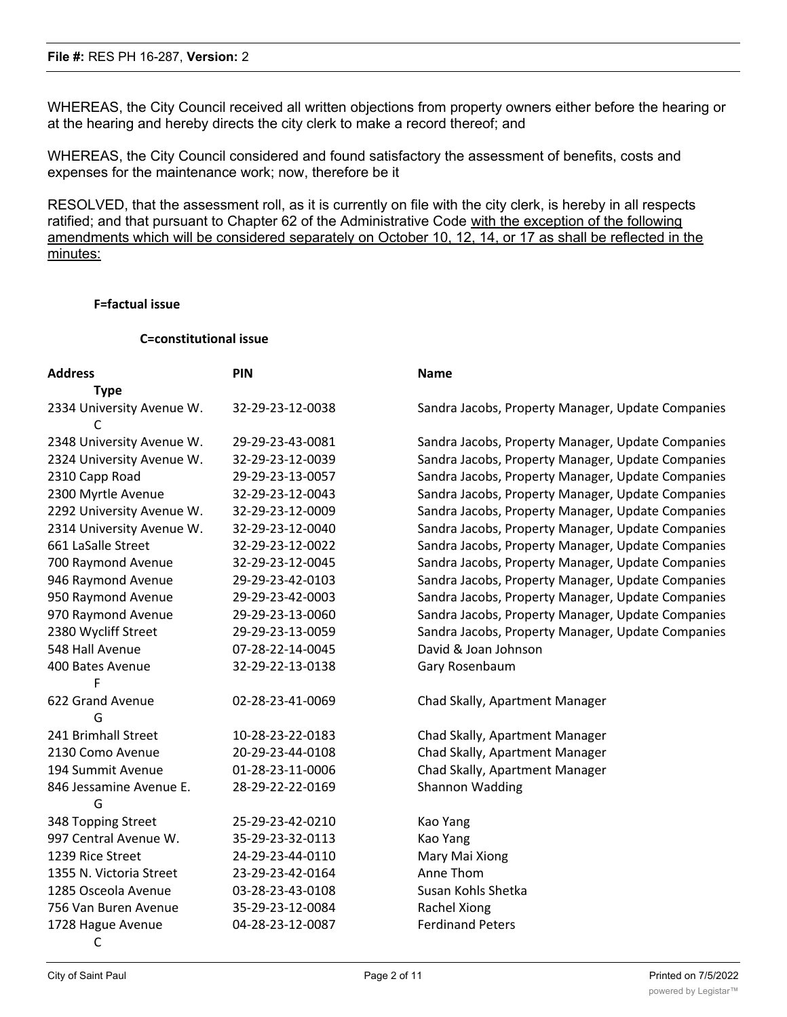WHEREAS, the City Council received all written objections from property owners either before the hearing or at the hearing and hereby directs the city clerk to make a record thereof; and

WHEREAS, the City Council considered and found satisfactory the assessment of benefits, costs and expenses for the maintenance work; now, therefore be it

RESOLVED, that the assessment roll, as it is currently on file with the city clerk, is hereby in all respects ratified; and that pursuant to Chapter 62 of the Administrative Code with the exception of the following amendments which will be considered separately on October 10, 12, 14, or 17 as shall be reflected in the minutes:

# **F=factual issue**

#### **C=constitutional issue**

| <b>Address</b>            | <b>PIN</b>       | <b>Name</b>                                       |
|---------------------------|------------------|---------------------------------------------------|
| <b>Type</b>               |                  |                                                   |
| 2334 University Avenue W. | 32-29-23-12-0038 | Sandra Jacobs, Property Manager, Update Companies |
|                           |                  |                                                   |
| 2348 University Avenue W. | 29-29-23-43-0081 | Sandra Jacobs, Property Manager, Update Companies |
| 2324 University Avenue W. | 32-29-23-12-0039 | Sandra Jacobs, Property Manager, Update Companies |
| 2310 Capp Road            | 29-29-23-13-0057 | Sandra Jacobs, Property Manager, Update Companies |
| 2300 Myrtle Avenue        | 32-29-23-12-0043 | Sandra Jacobs, Property Manager, Update Companies |
| 2292 University Avenue W. | 32-29-23-12-0009 | Sandra Jacobs, Property Manager, Update Companies |
| 2314 University Avenue W. | 32-29-23-12-0040 | Sandra Jacobs, Property Manager, Update Companies |
| 661 LaSalle Street        | 32-29-23-12-0022 | Sandra Jacobs, Property Manager, Update Companies |
| 700 Raymond Avenue        | 32-29-23-12-0045 | Sandra Jacobs, Property Manager, Update Companies |
| 946 Raymond Avenue        | 29-29-23-42-0103 | Sandra Jacobs, Property Manager, Update Companies |
| 950 Raymond Avenue        | 29-29-23-42-0003 | Sandra Jacobs, Property Manager, Update Companies |
| 970 Raymond Avenue        | 29-29-23-13-0060 | Sandra Jacobs, Property Manager, Update Companies |
| 2380 Wycliff Street       | 29-29-23-13-0059 | Sandra Jacobs, Property Manager, Update Companies |
| 548 Hall Avenue           | 07-28-22-14-0045 | David & Joan Johnson                              |
| 400 Bates Avenue          | 32-29-22-13-0138 | Gary Rosenbaum                                    |
| F                         |                  |                                                   |
| 622 Grand Avenue          | 02-28-23-41-0069 | Chad Skally, Apartment Manager                    |
| G                         |                  |                                                   |
| 241 Brimhall Street       | 10-28-23-22-0183 | Chad Skally, Apartment Manager                    |
| 2130 Como Avenue          | 20-29-23-44-0108 | Chad Skally, Apartment Manager                    |
| 194 Summit Avenue         | 01-28-23-11-0006 | Chad Skally, Apartment Manager                    |
| 846 Jessamine Avenue E.   | 28-29-22-22-0169 | Shannon Wadding                                   |
| G                         |                  |                                                   |
| 348 Topping Street        | 25-29-23-42-0210 | Kao Yang                                          |
| 997 Central Avenue W.     | 35-29-23-32-0113 | Kao Yang                                          |
| 1239 Rice Street          | 24-29-23-44-0110 | Mary Mai Xiong                                    |
| 1355 N. Victoria Street   | 23-29-23-42-0164 | Anne Thom                                         |
| 1285 Osceola Avenue       | 03-28-23-43-0108 | Susan Kohls Shetka                                |
| 756 Van Buren Avenue      | 35-29-23-12-0084 | Rachel Xiong                                      |
| 1728 Hague Avenue         | 04-28-23-12-0087 | <b>Ferdinand Peters</b>                           |
| C                         |                  |                                                   |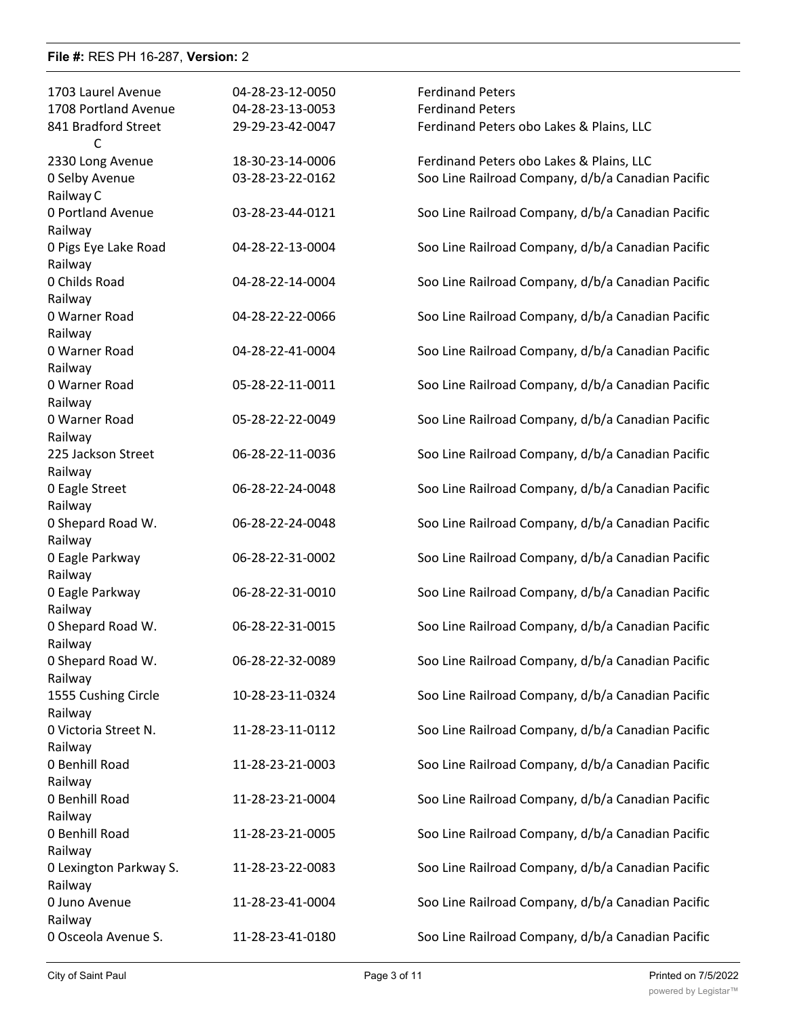| 1703 Laurel Avenue<br>1708 Portland Avenue | 04-28-23-12-0050<br>04-28-23-13-0053 | <b>Ferdinand Peters</b><br><b>Ferdinand Peters</b> |
|--------------------------------------------|--------------------------------------|----------------------------------------------------|
| 841 Bradford Street<br>C                   | 29-29-23-42-0047                     | Ferdinand Peters obo Lakes & Plains, LLC           |
| 2330 Long Avenue                           | 18-30-23-14-0006                     | Ferdinand Peters obo Lakes & Plains, LLC           |
| 0 Selby Avenue<br>Railway C                | 03-28-23-22-0162                     | Soo Line Railroad Company, d/b/a Canadian Pacific  |
| 0 Portland Avenue                          | 03-28-23-44-0121                     | Soo Line Railroad Company, d/b/a Canadian Pacific  |
| Railway                                    |                                      |                                                    |
| 0 Pigs Eye Lake Road<br>Railway            | 04-28-22-13-0004                     | Soo Line Railroad Company, d/b/a Canadian Pacific  |
| 0 Childs Road<br>Railway                   | 04-28-22-14-0004                     | Soo Line Railroad Company, d/b/a Canadian Pacific  |
| 0 Warner Road                              | 04-28-22-22-0066                     | Soo Line Railroad Company, d/b/a Canadian Pacific  |
| Railway                                    |                                      |                                                    |
| 0 Warner Road                              | 04-28-22-41-0004                     | Soo Line Railroad Company, d/b/a Canadian Pacific  |
| Railway<br>0 Warner Road                   | 05-28-22-11-0011                     | Soo Line Railroad Company, d/b/a Canadian Pacific  |
| Railway                                    |                                      |                                                    |
| 0 Warner Road                              | 05-28-22-22-0049                     | Soo Line Railroad Company, d/b/a Canadian Pacific  |
| Railway                                    |                                      |                                                    |
| 225 Jackson Street                         | 06-28-22-11-0036                     | Soo Line Railroad Company, d/b/a Canadian Pacific  |
| Railway<br>0 Eagle Street                  | 06-28-22-24-0048                     | Soo Line Railroad Company, d/b/a Canadian Pacific  |
| Railway                                    |                                      |                                                    |
| 0 Shepard Road W.                          | 06-28-22-24-0048                     | Soo Line Railroad Company, d/b/a Canadian Pacific  |
| Railway                                    |                                      |                                                    |
| 0 Eagle Parkway<br>Railway                 | 06-28-22-31-0002                     | Soo Line Railroad Company, d/b/a Canadian Pacific  |
| 0 Eagle Parkway                            | 06-28-22-31-0010                     | Soo Line Railroad Company, d/b/a Canadian Pacific  |
| Railway                                    |                                      |                                                    |
| 0 Shepard Road W.                          | 06-28-22-31-0015                     | Soo Line Railroad Company, d/b/a Canadian Pacific  |
| Railway                                    |                                      |                                                    |
| 0 Shepard Road W.                          | 06-28-22-32-0089                     | Soo Line Railroad Company, d/b/a Canadian Pacific  |
| Railway<br>1555 Cushing Circle             | 10-28-23-11-0324                     | Soo Line Railroad Company, d/b/a Canadian Pacific  |
| Railway                                    |                                      |                                                    |
| 0 Victoria Street N.                       | 11-28-23-11-0112                     | Soo Line Railroad Company, d/b/a Canadian Pacific  |
| Railway                                    |                                      |                                                    |
| 0 Benhill Road<br>Railway                  | 11-28-23-21-0003                     | Soo Line Railroad Company, d/b/a Canadian Pacific  |
| 0 Benhill Road                             | 11-28-23-21-0004                     | Soo Line Railroad Company, d/b/a Canadian Pacific  |
| Railway                                    |                                      |                                                    |
| 0 Benhill Road                             | 11-28-23-21-0005                     | Soo Line Railroad Company, d/b/a Canadian Pacific  |
| Railway                                    |                                      |                                                    |
| 0 Lexington Parkway S.                     | 11-28-23-22-0083                     | Soo Line Railroad Company, d/b/a Canadian Pacific  |
| Railway<br>0 Juno Avenue                   | 11-28-23-41-0004                     | Soo Line Railroad Company, d/b/a Canadian Pacific  |
| Railway                                    |                                      |                                                    |
| 0 Osceola Avenue S.                        | 11-28-23-41-0180                     | Soo Line Railroad Company, d/b/a Canadian Pacific  |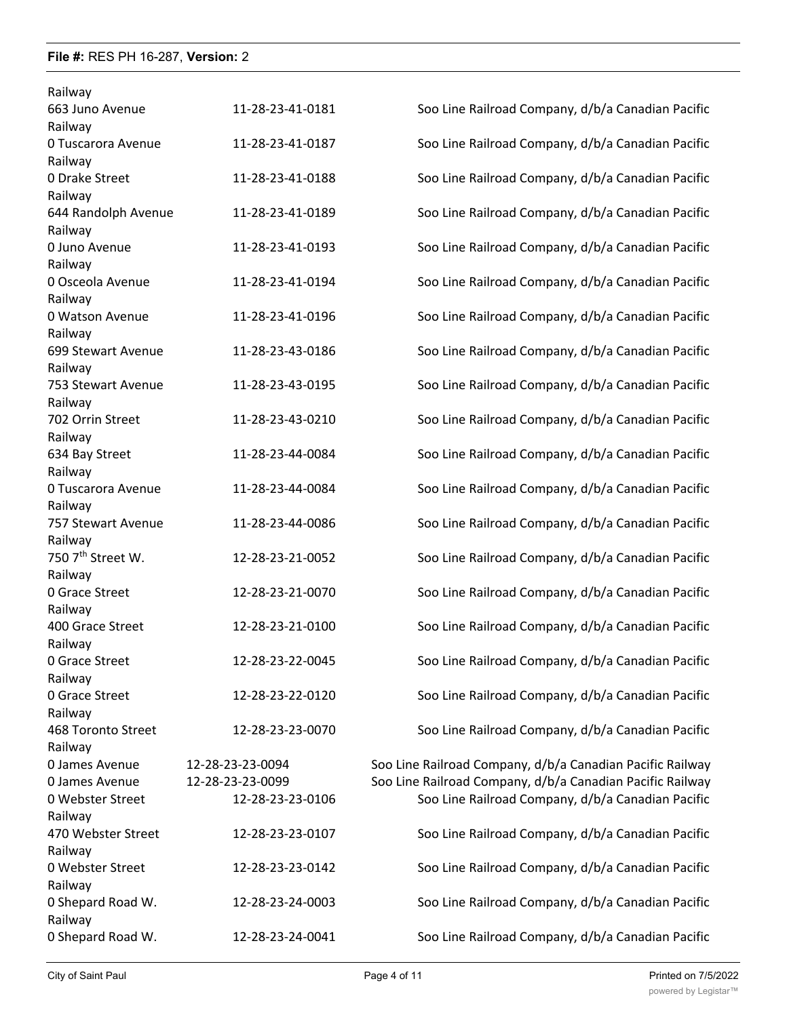| Railway                       |                  |                                                           |
|-------------------------------|------------------|-----------------------------------------------------------|
| 663 Juno Avenue               | 11-28-23-41-0181 | Soo Line Railroad Company, d/b/a Canadian Pacific         |
| Railway                       |                  |                                                           |
| 0 Tuscarora Avenue            | 11-28-23-41-0187 | Soo Line Railroad Company, d/b/a Canadian Pacific         |
| Railway                       |                  |                                                           |
| 0 Drake Street                | 11-28-23-41-0188 | Soo Line Railroad Company, d/b/a Canadian Pacific         |
| Railway                       |                  |                                                           |
| 644 Randolph Avenue           | 11-28-23-41-0189 | Soo Line Railroad Company, d/b/a Canadian Pacific         |
| Railway                       |                  |                                                           |
| 0 Juno Avenue                 | 11-28-23-41-0193 | Soo Line Railroad Company, d/b/a Canadian Pacific         |
| Railway                       |                  |                                                           |
| 0 Osceola Avenue              | 11-28-23-41-0194 | Soo Line Railroad Company, d/b/a Canadian Pacific         |
| Railway                       |                  |                                                           |
| 0 Watson Avenue               | 11-28-23-41-0196 | Soo Line Railroad Company, d/b/a Canadian Pacific         |
| Railway                       |                  |                                                           |
| 699 Stewart Avenue            | 11-28-23-43-0186 | Soo Line Railroad Company, d/b/a Canadian Pacific         |
| Railway                       |                  |                                                           |
| 753 Stewart Avenue            | 11-28-23-43-0195 | Soo Line Railroad Company, d/b/a Canadian Pacific         |
| Railway                       |                  |                                                           |
| 702 Orrin Street              | 11-28-23-43-0210 | Soo Line Railroad Company, d/b/a Canadian Pacific         |
| Railway                       |                  |                                                           |
| 634 Bay Street                | 11-28-23-44-0084 | Soo Line Railroad Company, d/b/a Canadian Pacific         |
| Railway                       |                  |                                                           |
| 0 Tuscarora Avenue            | 11-28-23-44-0084 | Soo Line Railroad Company, d/b/a Canadian Pacific         |
| Railway                       |                  |                                                           |
| 757 Stewart Avenue            | 11-28-23-44-0086 | Soo Line Railroad Company, d/b/a Canadian Pacific         |
| Railway                       |                  |                                                           |
| 750 7 <sup>th</sup> Street W. | 12-28-23-21-0052 | Soo Line Railroad Company, d/b/a Canadian Pacific         |
| Railway                       |                  |                                                           |
| 0 Grace Street                | 12-28-23-21-0070 | Soo Line Railroad Company, d/b/a Canadian Pacific         |
| Railway                       |                  |                                                           |
| 400 Grace Street              | 12-28-23-21-0100 | Soo Line Railroad Company, d/b/a Canadian Pacific         |
| Railway                       |                  |                                                           |
| 0 Grace Street                | 12-28-23-22-0045 | Soo Line Railroad Company, d/b/a Canadian Pacific         |
| Railway                       |                  |                                                           |
| 0 Grace Street                | 12-28-23-22-0120 | Soo Line Railroad Company, d/b/a Canadian Pacific         |
| Railway                       |                  |                                                           |
| 468 Toronto Street            | 12-28-23-23-0070 | Soo Line Railroad Company, d/b/a Canadian Pacific         |
| Railway                       |                  |                                                           |
| 0 James Avenue                | 12-28-23-23-0094 | Soo Line Railroad Company, d/b/a Canadian Pacific Railway |
| 0 James Avenue                | 12-28-23-23-0099 | Soo Line Railroad Company, d/b/a Canadian Pacific Railway |
| 0 Webster Street              | 12-28-23-23-0106 | Soo Line Railroad Company, d/b/a Canadian Pacific         |
| Railway                       |                  |                                                           |
| 470 Webster Street            | 12-28-23-23-0107 | Soo Line Railroad Company, d/b/a Canadian Pacific         |
| Railway                       |                  |                                                           |
|                               |                  |                                                           |
| 0 Webster Street              | 12-28-23-23-0142 | Soo Line Railroad Company, d/b/a Canadian Pacific         |
| Railway                       |                  |                                                           |
| 0 Shepard Road W.             | 12-28-23-24-0003 | Soo Line Railroad Company, d/b/a Canadian Pacific         |
| Railway                       |                  |                                                           |
| 0 Shepard Road W.             | 12-28-23-24-0041 | Soo Line Railroad Company, d/b/a Canadian Pacific         |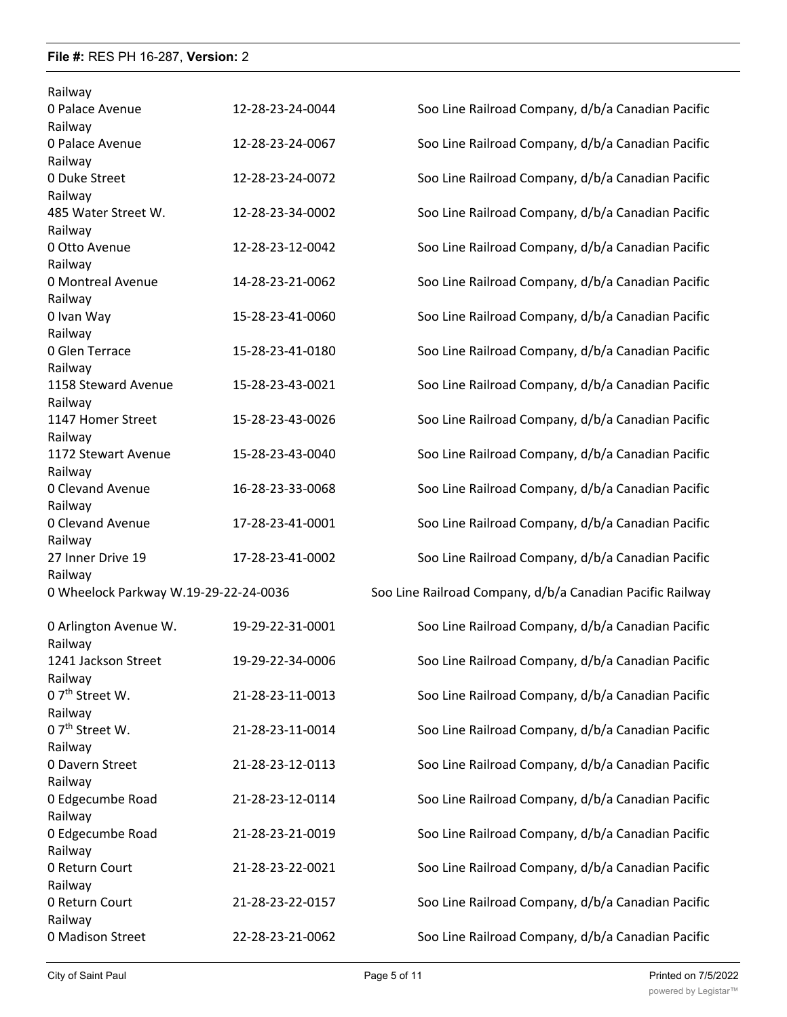| Railway                               |                  |                                                           |
|---------------------------------------|------------------|-----------------------------------------------------------|
| 0 Palace Avenue                       | 12-28-23-24-0044 | Soo Line Railroad Company, d/b/a Canadian Pacific         |
| Railway                               |                  |                                                           |
| 0 Palace Avenue                       | 12-28-23-24-0067 | Soo Line Railroad Company, d/b/a Canadian Pacific         |
| Railway                               |                  |                                                           |
| 0 Duke Street                         | 12-28-23-24-0072 | Soo Line Railroad Company, d/b/a Canadian Pacific         |
| Railway                               |                  |                                                           |
| 485 Water Street W.                   | 12-28-23-34-0002 | Soo Line Railroad Company, d/b/a Canadian Pacific         |
| Railway                               |                  |                                                           |
| 0 Otto Avenue                         | 12-28-23-12-0042 | Soo Line Railroad Company, d/b/a Canadian Pacific         |
| Railway                               |                  |                                                           |
| 0 Montreal Avenue                     | 14-28-23-21-0062 | Soo Line Railroad Company, d/b/a Canadian Pacific         |
| Railway                               |                  |                                                           |
| 0 Ivan Way                            | 15-28-23-41-0060 | Soo Line Railroad Company, d/b/a Canadian Pacific         |
| Railway                               |                  |                                                           |
| 0 Glen Terrace                        | 15-28-23-41-0180 | Soo Line Railroad Company, d/b/a Canadian Pacific         |
| Railway                               |                  |                                                           |
| 1158 Steward Avenue                   | 15-28-23-43-0021 | Soo Line Railroad Company, d/b/a Canadian Pacific         |
| Railway                               |                  |                                                           |
| 1147 Homer Street                     | 15-28-23-43-0026 | Soo Line Railroad Company, d/b/a Canadian Pacific         |
| Railway                               |                  |                                                           |
| 1172 Stewart Avenue                   | 15-28-23-43-0040 | Soo Line Railroad Company, d/b/a Canadian Pacific         |
| Railway                               |                  |                                                           |
| 0 Clevand Avenue                      | 16-28-23-33-0068 | Soo Line Railroad Company, d/b/a Canadian Pacific         |
| Railway                               |                  |                                                           |
| 0 Clevand Avenue                      | 17-28-23-41-0001 | Soo Line Railroad Company, d/b/a Canadian Pacific         |
| Railway                               |                  |                                                           |
| 27 Inner Drive 19                     | 17-28-23-41-0002 | Soo Line Railroad Company, d/b/a Canadian Pacific         |
| Railway                               |                  |                                                           |
| 0 Wheelock Parkway W.19-29-22-24-0036 |                  | Soo Line Railroad Company, d/b/a Canadian Pacific Railway |
| 0 Arlington Avenue W.                 | 19-29-22-31-0001 | Soo Line Railroad Company, d/b/a Canadian Pacific         |
| Railway                               |                  |                                                           |
| 1241 Jackson Street                   | 19-29-22-34-0006 | Soo Line Railroad Company, d/b/a Canadian Pacific         |
| Railway                               |                  |                                                           |
| 0 7 <sup>th</sup> Street W.           | 21-28-23-11-0013 | Soo Line Railroad Company, d/b/a Canadian Pacific         |
| Railway                               |                  |                                                           |
| $0.7th$ Street W.                     | 21-28-23-11-0014 | Soo Line Railroad Company, d/b/a Canadian Pacific         |
| Railway                               |                  |                                                           |
| 0 Davern Street                       | 21-28-23-12-0113 | Soo Line Railroad Company, d/b/a Canadian Pacific         |
| Railway                               |                  |                                                           |
| 0 Edgecumbe Road                      | 21-28-23-12-0114 | Soo Line Railroad Company, d/b/a Canadian Pacific         |
| Railway                               |                  |                                                           |
| 0 Edgecumbe Road                      | 21-28-23-21-0019 | Soo Line Railroad Company, d/b/a Canadian Pacific         |
| Railway                               |                  |                                                           |
| 0 Return Court                        | 21-28-23-22-0021 | Soo Line Railroad Company, d/b/a Canadian Pacific         |
| Railway                               |                  |                                                           |
|                                       |                  |                                                           |
|                                       |                  |                                                           |
| 0 Return Court                        | 21-28-23-22-0157 | Soo Line Railroad Company, d/b/a Canadian Pacific         |
| Railway<br>0 Madison Street           | 22-28-23-21-0062 | Soo Line Railroad Company, d/b/a Canadian Pacific         |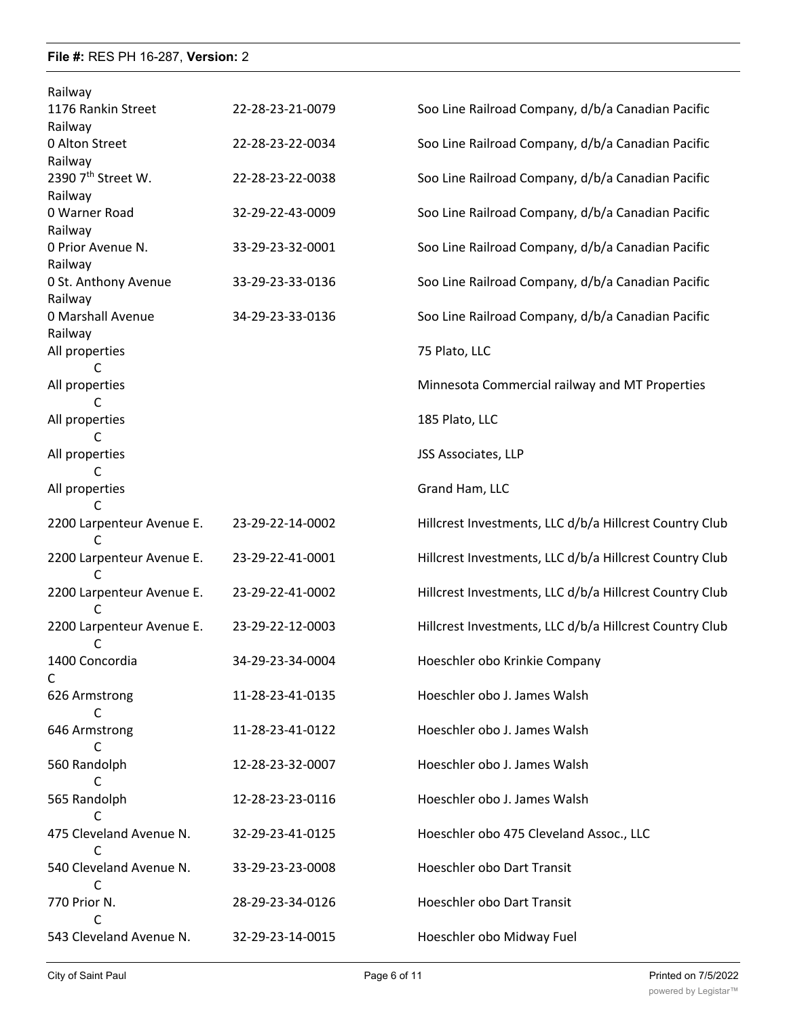| Railway                        |                  |                                                         |
|--------------------------------|------------------|---------------------------------------------------------|
| 1176 Rankin Street             | 22-28-23-21-0079 | Soo Line Railroad Company, d/b/a Canadian Pacific       |
| Railway                        |                  |                                                         |
| 0 Alton Street                 | 22-28-23-22-0034 | Soo Line Railroad Company, d/b/a Canadian Pacific       |
| Railway                        |                  |                                                         |
| 2390 7 <sup>th</sup> Street W. | 22-28-23-22-0038 | Soo Line Railroad Company, d/b/a Canadian Pacific       |
| Railway                        |                  |                                                         |
| 0 Warner Road                  | 32-29-22-43-0009 | Soo Line Railroad Company, d/b/a Canadian Pacific       |
| Railway                        |                  |                                                         |
| 0 Prior Avenue N.              | 33-29-23-32-0001 | Soo Line Railroad Company, d/b/a Canadian Pacific       |
| Railway                        |                  |                                                         |
| 0 St. Anthony Avenue           | 33-29-23-33-0136 | Soo Line Railroad Company, d/b/a Canadian Pacific       |
| Railway                        |                  |                                                         |
| 0 Marshall Avenue              | 34-29-23-33-0136 | Soo Line Railroad Company, d/b/a Canadian Pacific       |
| Railway                        |                  |                                                         |
| All properties                 |                  | 75 Plato, LLC                                           |
| C                              |                  |                                                         |
| All properties                 |                  | Minnesota Commercial railway and MT Properties          |
|                                |                  |                                                         |
| All properties                 |                  | 185 Plato, LLC                                          |
| C                              |                  |                                                         |
| All properties                 |                  | JSS Associates, LLP                                     |
| C                              |                  |                                                         |
| All properties                 |                  | Grand Ham, LLC                                          |
| C                              |                  |                                                         |
| 2200 Larpenteur Avenue E.      | 23-29-22-14-0002 | Hillcrest Investments, LLC d/b/a Hillcrest Country Club |
|                                |                  |                                                         |
| 2200 Larpenteur Avenue E.      | 23-29-22-41-0001 | Hillcrest Investments, LLC d/b/a Hillcrest Country Club |
| C                              |                  |                                                         |
| 2200 Larpenteur Avenue E.      | 23-29-22-41-0002 | Hillcrest Investments, LLC d/b/a Hillcrest Country Club |
| C                              |                  |                                                         |
| 2200 Larpenteur Avenue E.      | 23-29-22-12-0003 | Hillcrest Investments, LLC d/b/a Hillcrest Country Club |
| C                              |                  |                                                         |
| 1400 Concordia                 | 34-29-23-34-0004 | Hoeschler obo Krinkie Company                           |
| C                              |                  |                                                         |
| 626 Armstrong                  | 11-28-23-41-0135 | Hoeschler obo J. James Walsh                            |
| C                              |                  |                                                         |
| 646 Armstrong                  | 11-28-23-41-0122 | Hoeschler obo J. James Walsh                            |
| C                              |                  |                                                         |
| 560 Randolph                   | 12-28-23-32-0007 | Hoeschler obo J. James Walsh                            |
| C                              |                  |                                                         |
| 565 Randolph                   | 12-28-23-23-0116 | Hoeschler obo J. James Walsh                            |
| С                              |                  |                                                         |
| 475 Cleveland Avenue N.        | 32-29-23-41-0125 | Hoeschler obo 475 Cleveland Assoc., LLC                 |
| C                              |                  |                                                         |
| 540 Cleveland Avenue N.        | 33-29-23-23-0008 | Hoeschler obo Dart Transit                              |
| C                              |                  |                                                         |
| 770 Prior N.                   |                  | Hoeschler obo Dart Transit                              |
|                                | 28-29-23-34-0126 |                                                         |
|                                |                  |                                                         |
| 543 Cleveland Avenue N.        | 32-29-23-14-0015 | Hoeschler obo Midway Fuel                               |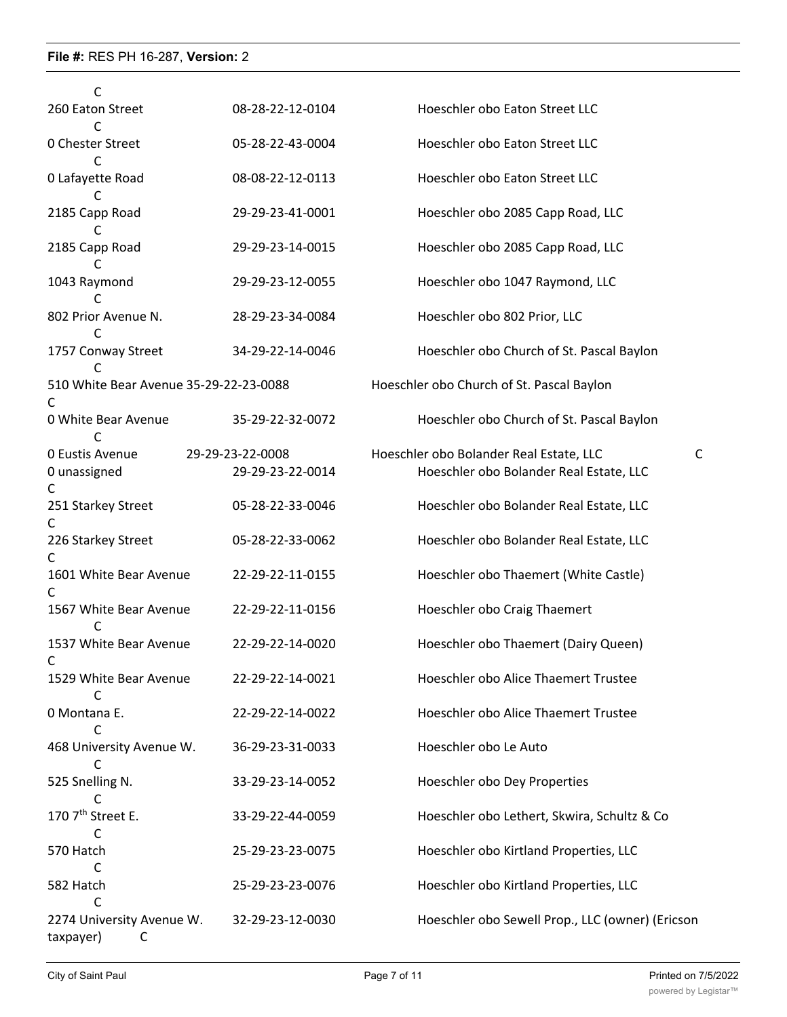| C                                           |                  |                                                  |
|---------------------------------------------|------------------|--------------------------------------------------|
| 260 Eaton Street                            | 08-28-22-12-0104 | Hoeschler obo Eaton Street LLC                   |
| 0 Chester Street<br>C                       | 05-28-22-43-0004 | Hoeschler obo Eaton Street LLC                   |
| 0 Lafayette Road                            | 08-08-22-12-0113 | Hoeschler obo Eaton Street LLC                   |
| 2185 Capp Road<br>C                         | 29-29-23-41-0001 | Hoeschler obo 2085 Capp Road, LLC                |
| 2185 Capp Road                              | 29-29-23-14-0015 | Hoeschler obo 2085 Capp Road, LLC                |
| 1043 Raymond                                | 29-29-23-12-0055 | Hoeschler obo 1047 Raymond, LLC                  |
| 802 Prior Avenue N.<br>C                    | 28-29-23-34-0084 | Hoeschler obo 802 Prior, LLC                     |
| 1757 Conway Street<br>C                     | 34-29-22-14-0046 | Hoeschler obo Church of St. Pascal Baylon        |
| 510 White Bear Avenue 35-29-22-23-0088<br>C |                  | Hoeschler obo Church of St. Pascal Baylon        |
| 0 White Bear Avenue<br>C                    | 35-29-22-32-0072 | Hoeschler obo Church of St. Pascal Baylon        |
| 0 Eustis Avenue                             | 29-29-23-22-0008 | Hoeschler obo Bolander Real Estate, LLC<br>C     |
| 0 unassigned<br>C                           | 29-29-23-22-0014 | Hoeschler obo Bolander Real Estate, LLC          |
| 251 Starkey Street<br>$\mathsf C$           | 05-28-22-33-0046 | Hoeschler obo Bolander Real Estate, LLC          |
| 226 Starkey Street<br>C                     | 05-28-22-33-0062 | Hoeschler obo Bolander Real Estate, LLC          |
| 1601 White Bear Avenue<br>C                 | 22-29-22-11-0155 | Hoeschler obo Thaemert (White Castle)            |
| 1567 White Bear Avenue                      | 22-29-22-11-0156 | Hoeschler obo Craig Thaemert                     |
| 1537 White Bear Avenue<br>C                 | 22-29-22-14-0020 | Hoeschler obo Thaemert (Dairy Queen)             |
| 1529 White Bear Avenue<br>C                 | 22-29-22-14-0021 | Hoeschler obo Alice Thaemert Trustee             |
| 0 Montana E.<br>C                           | 22-29-22-14-0022 | Hoeschler obo Alice Thaemert Trustee             |
| 468 University Avenue W.                    | 36-29-23-31-0033 | Hoeschler obo Le Auto                            |
| 525 Snelling N.<br>C                        | 33-29-23-14-0052 | Hoeschler obo Dey Properties                     |
| 170 7 <sup>th</sup> Street E.<br>C          | 33-29-22-44-0059 | Hoeschler obo Lethert, Skwira, Schultz & Co      |
| 570 Hatch<br>C                              | 25-29-23-23-0075 | Hoeschler obo Kirtland Properties, LLC           |
| 582 Hatch<br>C                              | 25-29-23-23-0076 | Hoeschler obo Kirtland Properties, LLC           |
| 2274 University Avenue W.<br>taxpayer)<br>C | 32-29-23-12-0030 | Hoeschler obo Sewell Prop., LLC (owner) (Ericson |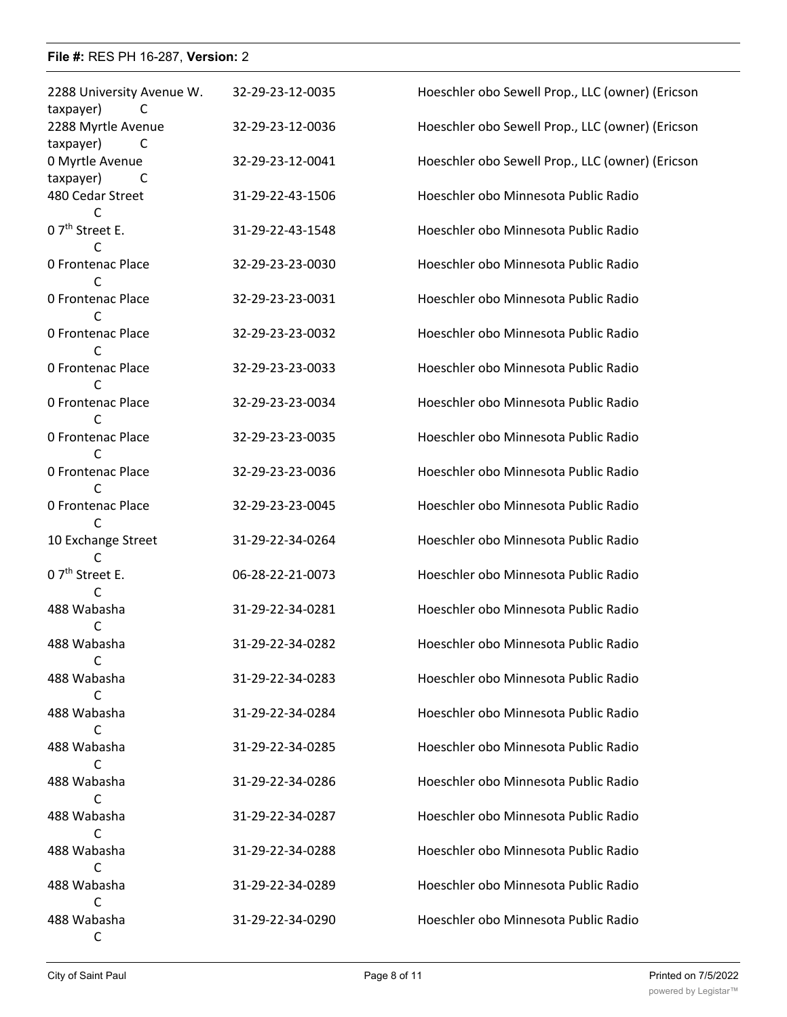| 2288 University Avenue W.<br>taxpayer)<br>C | 32-29-23-12-0035 | Hoeschler obo Sewell Prop., LLC (owner) (Ericson |
|---------------------------------------------|------------------|--------------------------------------------------|
| 2288 Myrtle Avenue<br>taxpayer)<br>C        | 32-29-23-12-0036 | Hoeschler obo Sewell Prop., LLC (owner) (Ericson |
| 0 Myrtle Avenue<br>taxpayer)<br>C           | 32-29-23-12-0041 | Hoeschler obo Sewell Prop., LLC (owner) (Ericson |
| 480 Cedar Street                            | 31-29-22-43-1506 | Hoeschler obo Minnesota Public Radio             |
| 0 7 <sup>th</sup> Street E.<br>C            | 31-29-22-43-1548 | Hoeschler obo Minnesota Public Radio             |
| <b>0 Frontenac Place</b><br>C               | 32-29-23-23-0030 | Hoeschler obo Minnesota Public Radio             |
| <b>0 Frontenac Place</b><br>C               | 32-29-23-23-0031 | Hoeschler obo Minnesota Public Radio             |
| 0 Frontenac Place                           | 32-29-23-23-0032 | Hoeschler obo Minnesota Public Radio             |
| 0 Frontenac Place<br>C                      | 32-29-23-23-0033 | Hoeschler obo Minnesota Public Radio             |
| <b>0 Frontenac Place</b>                    | 32-29-23-23-0034 | Hoeschler obo Minnesota Public Radio             |
| <b>0 Frontenac Place</b><br>C               | 32-29-23-23-0035 | Hoeschler obo Minnesota Public Radio             |
| <b>0 Frontenac Place</b>                    | 32-29-23-23-0036 | Hoeschler obo Minnesota Public Radio             |
| 0 Frontenac Place<br>C                      | 32-29-23-23-0045 | Hoeschler obo Minnesota Public Radio             |
| 10 Exchange Street                          | 31-29-22-34-0264 | Hoeschler obo Minnesota Public Radio             |
| 0 7 <sup>th</sup> Street E.<br>C            | 06-28-22-21-0073 | Hoeschler obo Minnesota Public Radio             |
| 488 Wabasha                                 | 31-29-22-34-0281 | Hoeschler obo Minnesota Public Radio             |
| 488 Wabasha<br>C                            | 31-29-22-34-0282 | Hoeschler obo Minnesota Public Radio             |
| 488 Wabasha<br>C                            | 31-29-22-34-0283 | Hoeschler obo Minnesota Public Radio             |
| 488 Wabasha<br>C                            | 31-29-22-34-0284 | Hoeschler obo Minnesota Public Radio             |
| 488 Wabasha<br>С                            | 31-29-22-34-0285 | Hoeschler obo Minnesota Public Radio             |
| 488 Wabasha<br>C                            | 31-29-22-34-0286 | Hoeschler obo Minnesota Public Radio             |
| 488 Wabasha<br>C                            | 31-29-22-34-0287 | Hoeschler obo Minnesota Public Radio             |
| 488 Wabasha<br>C                            | 31-29-22-34-0288 | Hoeschler obo Minnesota Public Radio             |
| 488 Wabasha<br>C                            | 31-29-22-34-0289 | Hoeschler obo Minnesota Public Radio             |
| 488 Wabasha<br>C                            | 31-29-22-34-0290 | Hoeschler obo Minnesota Public Radio             |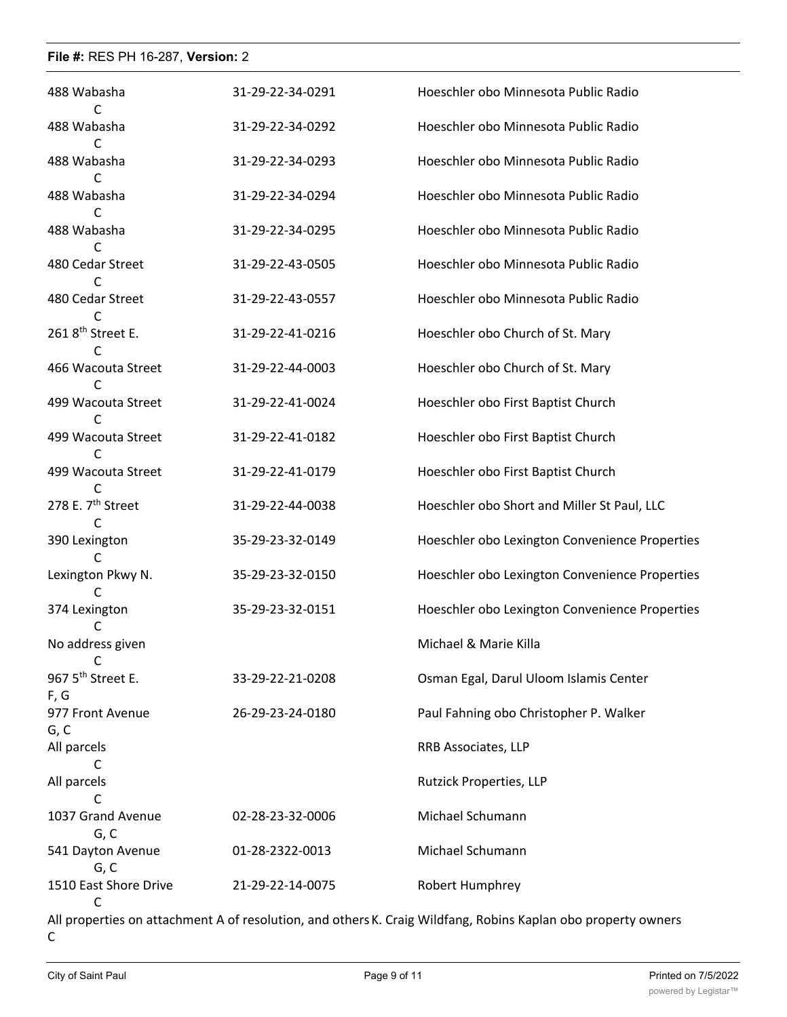| 488 Wabasha                           | 31-29-22-34-0291 | Hoeschler obo Minnesota Public Radio           |
|---------------------------------------|------------------|------------------------------------------------|
| 488 Wabasha<br>C                      | 31-29-22-34-0292 | Hoeschler obo Minnesota Public Radio           |
| 488 Wabasha                           | 31-29-22-34-0293 | Hoeschler obo Minnesota Public Radio           |
| 488 Wabasha<br>C                      | 31-29-22-34-0294 | Hoeschler obo Minnesota Public Radio           |
| 488 Wabasha                           | 31-29-22-34-0295 | Hoeschler obo Minnesota Public Radio           |
| 480 Cedar Street                      | 31-29-22-43-0505 | Hoeschler obo Minnesota Public Radio           |
| C<br>480 Cedar Street                 | 31-29-22-43-0557 | Hoeschler obo Minnesota Public Radio           |
| 261 8 <sup>th</sup> Street E.<br>C    | 31-29-22-41-0216 | Hoeschler obo Church of St. Mary               |
| 466 Wacouta Street<br>C               | 31-29-22-44-0003 | Hoeschler obo Church of St. Mary               |
| 499 Wacouta Street<br>C               | 31-29-22-41-0024 | Hoeschler obo First Baptist Church             |
| 499 Wacouta Street                    | 31-29-22-41-0182 | Hoeschler obo First Baptist Church             |
| 499 Wacouta Street<br>C               | 31-29-22-41-0179 | Hoeschler obo First Baptist Church             |
| 278 E. 7 <sup>th</sup> Street<br>C    | 31-29-22-44-0038 | Hoeschler obo Short and Miller St Paul, LLC    |
| 390 Lexington<br>C                    | 35-29-23-32-0149 | Hoeschler obo Lexington Convenience Properties |
| Lexington Pkwy N.                     | 35-29-23-32-0150 | Hoeschler obo Lexington Convenience Properties |
| 374 Lexington                         | 35-29-23-32-0151 | Hoeschler obo Lexington Convenience Properties |
| No address given<br>С                 |                  | Michael & Marie Killa                          |
| 967 5 <sup>th</sup> Street E.<br>F, G | 33-29-22-21-0208 | Osman Egal, Darul Uloom Islamis Center         |
| 977 Front Avenue<br>G, C              | 26-29-23-24-0180 | Paul Fahning obo Christopher P. Walker         |
| All parcels<br>C                      |                  | RRB Associates, LLP                            |
| All parcels<br>C                      |                  | Rutzick Properties, LLP                        |
| 1037 Grand Avenue<br>G, C             | 02-28-23-32-0006 | Michael Schumann                               |
| 541 Dayton Avenue<br>G, C             | 01-28-2322-0013  | Michael Schumann                               |
| 1510 East Shore Drive<br>C            | 21-29-22-14-0075 | Robert Humphrey                                |

All properties on attachment A of resolution, and othersK. Craig Wildfang, Robins Kaplan obo property owners  $\mathsf C$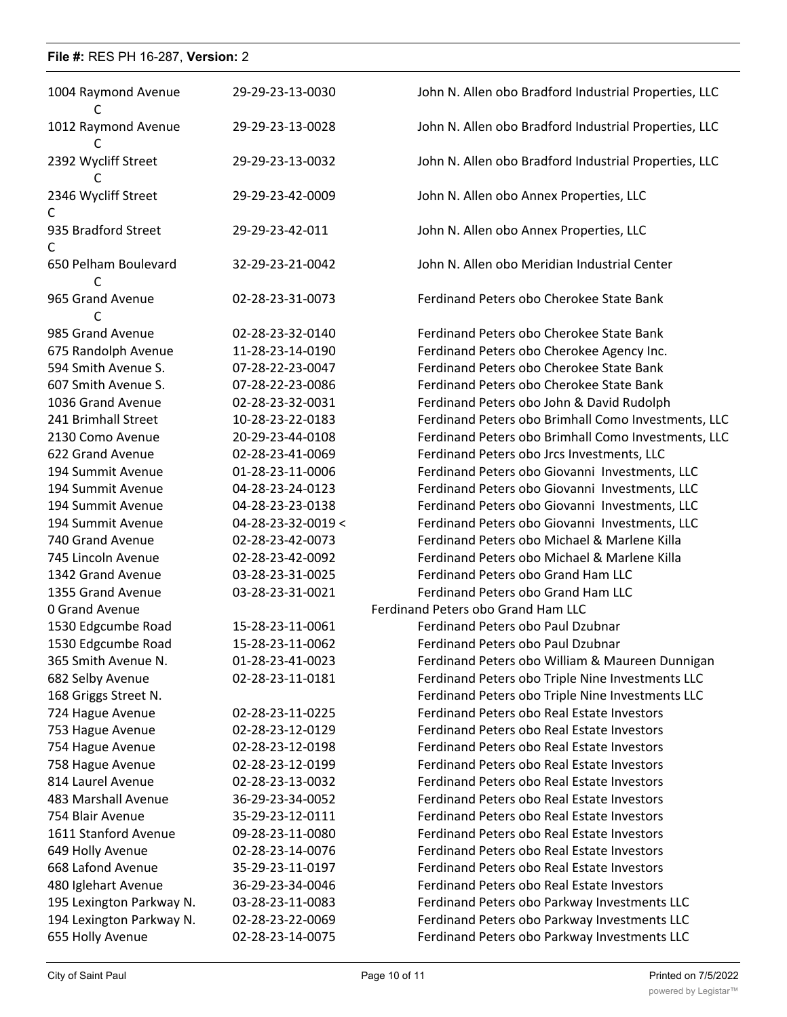| 1004 Raymond Avenue<br>C  | 29-29-23-13-0030             | John N. Allen obo Bradford Industrial Properties, LLC |
|---------------------------|------------------------------|-------------------------------------------------------|
| 1012 Raymond Avenue<br>C  | 29-29-23-13-0028             | John N. Allen obo Bradford Industrial Properties, LLC |
| 2392 Wycliff Street       | 29-29-23-13-0032             | John N. Allen obo Bradford Industrial Properties, LLC |
| 2346 Wycliff Street<br>C  | 29-29-23-42-0009             | John N. Allen obo Annex Properties, LLC               |
| 935 Bradford Street<br>C  | 29-29-23-42-011              | John N. Allen obo Annex Properties, LLC               |
| 650 Pelham Boulevard<br>C | 32-29-23-21-0042             | John N. Allen obo Meridian Industrial Center          |
| 965 Grand Avenue<br>C     | 02-28-23-31-0073             | Ferdinand Peters obo Cherokee State Bank              |
| 985 Grand Avenue          | 02-28-23-32-0140             | Ferdinand Peters obo Cherokee State Bank              |
| 675 Randolph Avenue       | 11-28-23-14-0190             | Ferdinand Peters obo Cherokee Agency Inc.             |
| 594 Smith Avenue S.       | 07-28-22-23-0047             | Ferdinand Peters obo Cherokee State Bank              |
| 607 Smith Avenue S.       | 07-28-22-23-0086             | Ferdinand Peters obo Cherokee State Bank              |
| 1036 Grand Avenue         | 02-28-23-32-0031             | Ferdinand Peters obo John & David Rudolph             |
| 241 Brimhall Street       | 10-28-23-22-0183             | Ferdinand Peters obo Brimhall Como Investments, LLC   |
| 2130 Como Avenue          | 20-29-23-44-0108             | Ferdinand Peters obo Brimhall Como Investments, LLC   |
| 622 Grand Avenue          | 02-28-23-41-0069             | Ferdinand Peters obo Jrcs Investments, LLC            |
| 194 Summit Avenue         | 01-28-23-11-0006             | Ferdinand Peters obo Giovanni Investments, LLC        |
| 194 Summit Avenue         | 04-28-23-24-0123             | Ferdinand Peters obo Giovanni Investments, LLC        |
| 194 Summit Avenue         | 04-28-23-23-0138             | Ferdinand Peters obo Giovanni Investments, LLC        |
| 194 Summit Avenue         | $04 - 28 - 23 - 32 - 0019 <$ | Ferdinand Peters obo Giovanni Investments, LLC        |
| 740 Grand Avenue          | 02-28-23-42-0073             | Ferdinand Peters obo Michael & Marlene Killa          |
| 745 Lincoln Avenue        | 02-28-23-42-0092             | Ferdinand Peters obo Michael & Marlene Killa          |
| 1342 Grand Avenue         | 03-28-23-31-0025             | Ferdinand Peters obo Grand Ham LLC                    |
| 1355 Grand Avenue         | 03-28-23-31-0021             | Ferdinand Peters obo Grand Ham LLC                    |
| 0 Grand Avenue            |                              | Ferdinand Peters obo Grand Ham LLC                    |
| 1530 Edgcumbe Road        | 15-28-23-11-0061             | Ferdinand Peters obo Paul Dzubnar                     |
| 1530 Edgcumbe Road        | 15-28-23-11-0062             | Ferdinand Peters obo Paul Dzubnar                     |
| 365 Smith Avenue N.       | 01-28-23-41-0023             | Ferdinand Peters obo William & Maureen Dunnigan       |
| 682 Selby Avenue          | 02-28-23-11-0181             | Ferdinand Peters obo Triple Nine Investments LLC      |
| 168 Griggs Street N.      |                              | Ferdinand Peters obo Triple Nine Investments LLC      |
| 724 Hague Avenue          | 02-28-23-11-0225             | Ferdinand Peters obo Real Estate Investors            |
| 753 Hague Avenue          | 02-28-23-12-0129             | Ferdinand Peters obo Real Estate Investors            |
| 754 Hague Avenue          | 02-28-23-12-0198             | Ferdinand Peters obo Real Estate Investors            |
| 758 Hague Avenue          | 02-28-23-12-0199             | Ferdinand Peters obo Real Estate Investors            |
| 814 Laurel Avenue         | 02-28-23-13-0032             | Ferdinand Peters obo Real Estate Investors            |
| 483 Marshall Avenue       | 36-29-23-34-0052             | Ferdinand Peters obo Real Estate Investors            |
| 754 Blair Avenue          | 35-29-23-12-0111             | Ferdinand Peters obo Real Estate Investors            |
| 1611 Stanford Avenue      | 09-28-23-11-0080             | Ferdinand Peters obo Real Estate Investors            |
| 649 Holly Avenue          | 02-28-23-14-0076             | Ferdinand Peters obo Real Estate Investors            |
| 668 Lafond Avenue         | 35-29-23-11-0197             | Ferdinand Peters obo Real Estate Investors            |
| 480 Iglehart Avenue       | 36-29-23-34-0046             | Ferdinand Peters obo Real Estate Investors            |
| 195 Lexington Parkway N.  | 03-28-23-11-0083             | Ferdinand Peters obo Parkway Investments LLC          |
| 194 Lexington Parkway N.  | 02-28-23-22-0069             | Ferdinand Peters obo Parkway Investments LLC          |
| 655 Holly Avenue          | 02-28-23-14-0075             | Ferdinand Peters obo Parkway Investments LLC          |